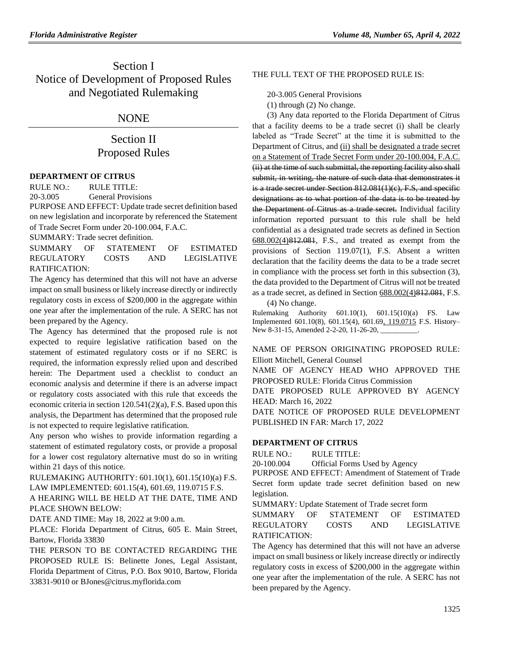# Section I Notice of Development of Proposed Rules and Negotiated Rulemaking

# NONE

# Section II Proposed Rules

### **[DEPARTMENT OF CITRUS](https://www.flrules.org/gateway/department.asp?id=20)**

RULE NO.: RULE TITLE: [20-3.005](https://www.flrules.org/gateway/ruleNo.asp?id=20-3.005) General Provisions

PURPOSE AND EFFECT: Update trade secret definition based on new legislation and incorporate by referenced the Statement of Trade Secret Form under 20-100.004, F.A.C.

SUMMARY: Trade secret definition.

SUMMARY OF STATEMENT OF ESTIMATED REGULATORY COSTS AND LEGISLATIVE RATIFICATION:

The Agency has determined that this will not have an adverse impact on small business or likely increase directly or indirectly regulatory costs in excess of \$200,000 in the aggregate within one year after the implementation of the rule. A SERC has not been prepared by the Agency.

The Agency has determined that the proposed rule is not expected to require legislative ratification based on the statement of estimated regulatory costs or if no SERC is required, the information expressly relied upon and described herein: The Department used a checklist to conduct an economic analysis and determine if there is an adverse impact or regulatory costs associated with this rule that exceeds the economic criteria in section 120.541(2)(a), F.S. Based upon this analysis, the Department has determined that the proposed rule is not expected to require legislative ratification.

Any person who wishes to provide information regarding a statement of estimated regulatory costs, or provide a proposal for a lower cost regulatory alternative must do so in writing within 21 days of this notice.

RULEMAKING AUTHORITY: [601.10\(1\),](https://www.flrules.org/gateway/statute.asp?id=601.10(1)) [601.15\(10\)\(a\) F.S.](https://www.flrules.org/gateway/statute.asp?id=%20601.15(10)(a)%20F.S.) LAW IMPLEMENTED: [601.15\(4\),](https://www.flrules.org/gateway/statute.asp?id=601.15(4)) [601.69,](https://www.flrules.org/gateway/statute.asp?id=%20601.69) [119.0715 F.S.](https://www.flrules.org/gateway/statute.asp?id=%20119.0715%20F.S.)

A HEARING WILL BE HELD AT THE DATE, TIME AND PLACE SHOWN BELOW:

DATE AND TIME: May 18, 2022 at 9:00 a.m.

PLACE: Florida Department of Citrus, 605 E. Main Street, Bartow, Florida 33830

THE PERSON TO BE CONTACTED REGARDING THE PROPOSED RULE IS: Belinette Jones, Legal Assistant, Florida Department of Citrus, P.O. Box 9010, Bartow, Florida 33831-9010 or BJones@citrus.myflorida.com

### THE FULL TEXT OF THE PROPOSED RULE IS:

20-3.005 General Provisions

(1) through (2) No change.

(3) Any data reported to the Florida Department of Citrus that a facility deems to be a trade secret (i) shall be clearly labeled as "Trade Secret" at the time it is submitted to the Department of Citrus, and (ii) shall be designated a trade secret on a Statement of Trade Secret Form under 20-100.004, F.A.C. (ii) at the time of such submittal, the reporting facility also shall submit, in writing, the nature of such data that demonstrates it is a trade secret under Section 812.081(1)(c), F.S, and specific designations as to what portion of the data is to be treated by the Department of Citrus as a trade secret. Individual facility information reported pursuant to this rule shall be held confidential as a designated trade secrets as defined in Section 688.002(4)812.081, F.S., and treated as exempt from the provisions of Section 119.07(1), F.S. Absent a written declaration that the facility deems the data to be a trade secret in compliance with the process set forth in this subsection (3), the data provided to the Department of Citrus will not be treated as a trade secret, as defined in Section 688.002(4)812.081, F.S. (4) No change.

Rulemaking Authority 601.10(1), 601.15(10)(a) FS. Law Implemented 601.10(8), 601.15(4), 601.69, 119.0715 F.S. History–

New 8-31-15, Amended 2-2-20, 11-26-20, \_\_\_\_\_\_\_\_\_\_

NAME OF PERSON ORIGINATING PROPOSED RULE: Elliott Mitchell, General Counsel

NAME OF AGENCY HEAD WHO APPROVED THE PROPOSED RULE: Florida Citrus Commission

DATE PROPOSED RULE APPROVED BY AGENCY HEAD: March 16, 2022

DATE NOTICE OF PROPOSED RULE DEVELOPMENT PUBLISHED IN FAR: March 17, 2022

### **[DEPARTMENT OF CITRUS](https://www.flrules.org/gateway/department.asp?id=20)**

RULE NO.: RULE TITLE:

[20-100.004](https://www.flrules.org/gateway/ruleNo.asp?id=20-100.004) Official Forms Used by Agency

PURPOSE AND EFFECT: Amendment of Statement of Trade Secret form update trade secret definition based on new legislation.

SUMMARY: Update Statement of Trade secret form

SUMMARY OF STATEMENT OF ESTIMATED REGULATORY COSTS AND LEGISLATIVE RATIFICATION:

The Agency has determined that this will not have an adverse impact on small business or likely increase directly or indirectly regulatory costs in excess of \$200,000 in the aggregate within one year after the implementation of the rule. A SERC has not been prepared by the Agency.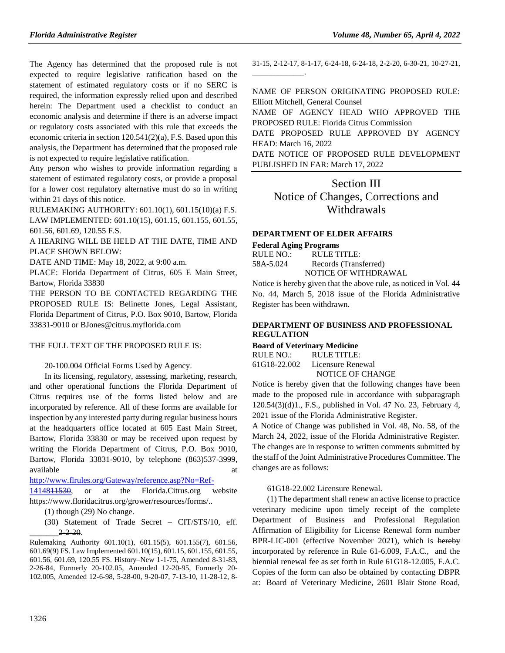The Agency has determined that the proposed rule is not expected to require legislative ratification based on the statement of estimated regulatory costs or if no SERC is required, the information expressly relied upon and described herein: The Department used a checklist to conduct an economic analysis and determine if there is an adverse impact or regulatory costs associated with this rule that exceeds the economic criteria in section 120.541(2)(a), F.S. Based upon this analysis, the Department has determined that the proposed rule is not expected to require legislative ratification.

Any person who wishes to provide information regarding a statement of estimated regulatory costs, or provide a proposal for a lower cost regulatory alternative must do so in writing within 21 days of this notice.

RULEMAKING AUTHORITY: [601.10\(1\),](https://www.flrules.org/gateway/statute.asp?id=601.10(1)) [601.15\(10\)\(a\) F.S.](https://www.flrules.org/gateway/statute.asp?id=%20601.15(10)(a)%20F.S.) LAW IMPLEMENTED: [601.10\(15\),](https://www.flrules.org/gateway/statute.asp?id=601.10(15)) [601.15,](https://www.flrules.org/gateway/statute.asp?id=%20601.15) [601.155,](https://www.flrules.org/gateway/statute.asp?id=%20601.155) [601.55,](https://www.flrules.org/gateway/statute.asp?id=%20601.55) [601.56,](https://www.flrules.org/gateway/statute.asp?id=%20601.56) [601.69,](https://www.flrules.org/gateway/statute.asp?id=%20601.69) [120.55 F.S.](https://www.flrules.org/gateway/statute.asp?id=%20120.55%20F.S.)

A HEARING WILL BE HELD AT THE DATE, TIME AND PLACE SHOWN BELOW:

DATE AND TIME: May 18, 2022, at 9:00 a.m.

PLACE: Florida Department of Citrus, 605 E Main Street, Bartow, Florida 33830

THE PERSON TO BE CONTACTED REGARDING THE PROPOSED RULE IS: Belinette Jones, Legal Assistant, Florida Department of Citrus, P.O. Box 9010, Bartow, Florida 33831-9010 or BJones@citrus.myflorida.com

#### THE FULL TEXT OF THE PROPOSED RULE IS:

20-100.004 Official Forms Used by Agency.

In its licensing, regulatory, assessing, marketing, research, and other operational functions the Florida Department of Citrus requires use of the forms listed below and are incorporated by reference. All of these forms are available for inspection by any interested party during regular business hours at the headquarters office located at 605 East Main Street, Bartow, Florida 33830 or may be received upon request by writing the Florida Department of Citrus, P.O. Box 9010, Bartow, Florida 33831-9010, by telephone (863)537-3999, available at a structure at a structure at a structure at a structure at a structure at a structure at a structure at a structure at a structure at a structure at a structure at a structure at  $\alpha$ 

[http://www.flrules.org/Gateway/reference.asp?No=Ref-](http://www.flrules.org/Gateway/reference.asp?No=Ref-1414811530)

[1414811530,](http://www.flrules.org/Gateway/reference.asp?No=Ref-1414811530) or at the Florida.Citrus.org website https://www.floridacitrus.org/grower/resources/forms/..

(30) Statement of Trade Secret – CIT/STS/10, eff.  $2, 2, 20.$ 

31-15, 2-12-17, 8-1-17, 6-24-18, 6-24-18, 2-2-20, 6-30-21, 10-27-21,

NAME OF PERSON ORIGINATING PROPOSED RULE: Elliott Mitchell, General Counsel NAME OF AGENCY HEAD WHO APPROVED THE PROPOSED RULE: Florida Citrus Commission DATE PROPOSED RULE APPROVED BY AGENCY HEAD: March 16, 2022

DATE NOTICE OF PROPOSED RULE DEVELOPMENT PUBLISHED IN FAR: March 17, 2022

Section III Notice of Changes, Corrections and Withdrawals

#### **[DEPARTMENT OF ELDER AFFAIRS](https://www.flrules.org/gateway/department.asp?id=58)**

## **[Federal Aging Programs](https://www.flrules.org/gateway/organization.asp?id=179)**

 $\overline{\phantom{a}}$  .

| RULE NO.: | RULE TITLE:           |
|-----------|-----------------------|
| 58A-5.024 | Records (Transferred) |
|           | NOTICE OF WITHDRAWAL  |

Notice is hereby given that the above rule, as noticed in Vol. 44 No. 44, March 5, 2018 issue of the Florida Administrative Register has been withdrawn.

#### **[DEPARTMENT OF BUSINESS AND PROFESSIONAL](https://www.flrules.org/gateway/department.asp?id=61)  [REGULATION](https://www.flrules.org/gateway/department.asp?id=61)**

**[Board of Veterinary Medicine](https://www.flrules.org/gateway/organization.asp?id=270)**

RULE NO.: RULE TITLE: [61G18-22.002](https://www.flrules.org/gateway/ruleNo.asp?id=61G18-22.002) Licensure Renewal NOTICE OF CHANGE

Notice is hereby given that the following changes have been made to the proposed rule in accordance with subparagraph 120.54(3)(d)1., F.S., published in Vol. 47 No. 23, February 4, 2021 issue of the Florida Administrative Register.

A Notice of Change was published in Vol. 48, No. 58, of the March 24, 2022, issue of the Florida Administrative Register. The changes are in response to written comments submitted by the staff of the Joint Administrative Procedures Committee. The changes are as follows:

61G18-22.002 Licensure Renewal.

(1) The department shall renew an active license to practice veterinary medicine upon timely receipt of the complete Department of Business and Professional Regulation Affirmation of Eligibility for License Renewal form number BPR-LIC-001 (effective November 2021), which is hereby incorporated by reference in Rule 61-6.009, F.A.C., and the biennial renewal fee as set forth in Rule 61G18-12.005, F.A.C. Copies of the form can also be obtained by contacting DBPR at: Board of Veterinary Medicine, 2601 Blair Stone Road,

<sup>(1)</sup> though (29) No change.

Rulemaking Authority 601.10(1), 601.15(5), 601.155(7), 601.56, 601.69(9) FS. Law Implemented 601.10(15), 601.15, 601.155, 601.55, 601.56, 601.69, 120.55 FS. History–New 1-1-75, Amended 8-31-83, 2-26-84, Formerly 20-102.05, Amended 12-20-95, Formerly 20- 102.005, Amended 12-6-98, 5-28-00, 9-20-07, 7-13-10, 11-28-12, 8-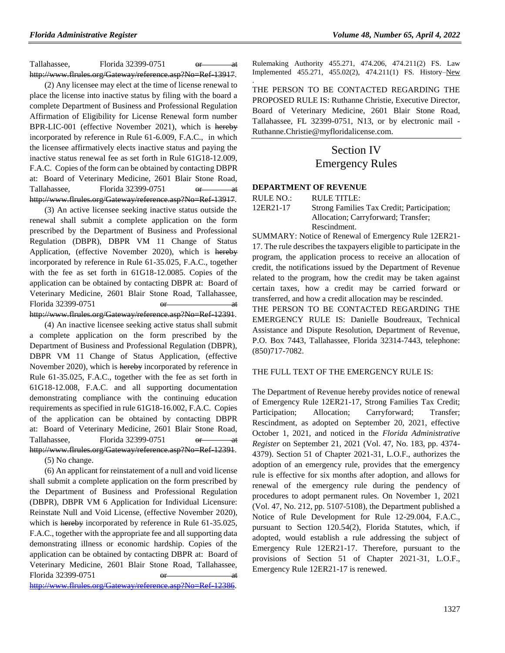Tallahassee, Florida 32399-0751 or at http://www.flrules.org/Gateway/reference.asp?No=Ref-13917.

(2) Any licensee may elect at the time of license renewal to place the license into inactive status by filing with the board a complete Department of Business and Professional Regulation Affirmation of Eligibility for License Renewal form number BPR-LIC-001 (effective November 2021), which is hereby incorporated by reference in Rule 61-6.009, F.A.C., in which the licensee affirmatively elects inactive status and paying the inactive status renewal fee as set forth in Rule 61G18-12.009, F.A.C. Copies of the form can be obtained by contacting DBPR at: Board of Veterinary Medicine, 2601 Blair Stone Road, Tallahassee, Florida 32399-0751 or at http://www.flrules.org/Gateway/reference.asp?No=Ref-13917.

(3) An active licensee seeking inactive status outside the renewal shall submit a complete application on the form prescribed by the Department of Business and Professional Regulation (DBPR), DBPR VM 11 Change of Status Application, (effective November 2020), which is hereby incorporated by reference in Rule 61-35.025, F.A.C., together with the fee as set forth in 61G18-12.0085. Copies of the application can be obtained by contacting DBPR at: Board of Veterinary Medicine, 2601 Blair Stone Road, Tallahassee, Florida 32399-0751 http://www.flrules.org/Gateway/reference.asp?No=Ref-12391.

(4) An inactive licensee seeking active status shall submit a complete application on the form prescribed by the Department of Business and Professional Regulation (DBPR), DBPR VM 11 Change of Status Application, (effective November 2020), which is hereby incorporated by reference in Rule 61-35.025, F.A.C., together with the fee as set forth in 61G18-12.008, F.A.C. and all supporting documentation demonstrating compliance with the continuing education requirements as specified in rule 61G18-16.002, F.A.C. Copies of the application can be obtained by contacting DBPR at: Board of Veterinary Medicine, 2601 Blair Stone Road, Tallahassee, Florida 32399-0751 or at http://www.flrules.org/Gateway/reference.asp?No=Ref-12391.

(5) No change.

(6) An applicant for reinstatement of a null and void license shall submit a complete application on the form prescribed by the Department of Business and Professional Regulation (DBPR), DBPR VM 6 Application for Individual Licensure: Reinstate Null and Void License, (effective November 2020), which is hereby incorporated by reference in Rule 61-35.025, F.A.C., together with the appropriate fee and all supporting data demonstrating illness or economic hardship. Copies of the application can be obtained by contacting DBPR at: Board of Veterinary Medicine, 2601 Blair Stone Road, Tallahassee, Florida 32399-0751  $\theta$ [http://www.flrules.org/Gateway/reference.asp?No=Ref-12386.](https://www.flrules.org/Gateway/reference.asp?No=Ref-12386)

Rulemaking Authority 455.271, 474.206, 474.211(2) FS. Law Implemented 455.271, 455.02(2), 474.211(1) FS. History–New

. THE PERSON TO BE CONTACTED REGARDING THE PROPOSED RULE IS: Ruthanne Christie, Executive Director, Board of Veterinary Medicine, 2601 Blair Stone Road, Tallahassee, FL 32399-0751, N13, or by electronic mail - Ruthanne.Christie@myfloridalicense.com.

# Section IV Emergency Rules

#### **[DEPARTMENT OF REVENUE](https://www.flrules.org/gateway/department.asp?id=12)**

| RULE NO.: | RULE TITLE:                                |
|-----------|--------------------------------------------|
| 12ER21-17 | Strong Families Tax Credit; Participation; |
|           | Allocation; Carryforward; Transfer;        |
|           | Rescindment.                               |

SUMMARY: Notice of Renewal of Emergency Rule 12ER21- 17. The rule describes the taxpayers eligible to participate in the program, the application process to receive an allocation of credit, the notifications issued by the Department of Revenue related to the program, how the credit may be taken against certain taxes, how a credit may be carried forward or transferred, and how a credit allocation may be rescinded. THE PERSON TO BE CONTACTED REGARDING THE

EMERGENCY RULE IS: Danielle Boudreaux, Technical Assistance and Dispute Resolution, Department of Revenue, P.O. Box 7443, Tallahassee, Florida 32314-7443, telephone: (850)717-7082.

#### THE FULL TEXT OF THE EMERGENCY RULE IS:

The Department of Revenue hereby provides notice of renewal of Emergency Rule 12ER21-17, Strong Families Tax Credit; Participation; Allocation; Carryforward; Transfer; Rescindment, as adopted on September 20, 2021, effective October 1, 2021, and noticed in the *Florida Administrative Register* on September 21, 2021 (Vol. 47, No. 183, pp. 4374- 4379). Section 51 of Chapter 2021-31, L.O.F., authorizes the adoption of an emergency rule, provides that the emergency rule is effective for six months after adoption, and allows for renewal of the emergency rule during the pendency of procedures to adopt permanent rules. On November 1, 2021 (Vol. 47, No. 212, pp. 5107-5108), the Department published a Notice of Rule Development for Rule 12-29.004, F.A.C., pursuant to Section 120.54(2), Florida Statutes, which, if adopted, would establish a rule addressing the subject of Emergency Rule 12ER21-17. Therefore, pursuant to the provisions of Section 51 of Chapter 2021-31, L.O.F., Emergency Rule 12ER21-17 is renewed.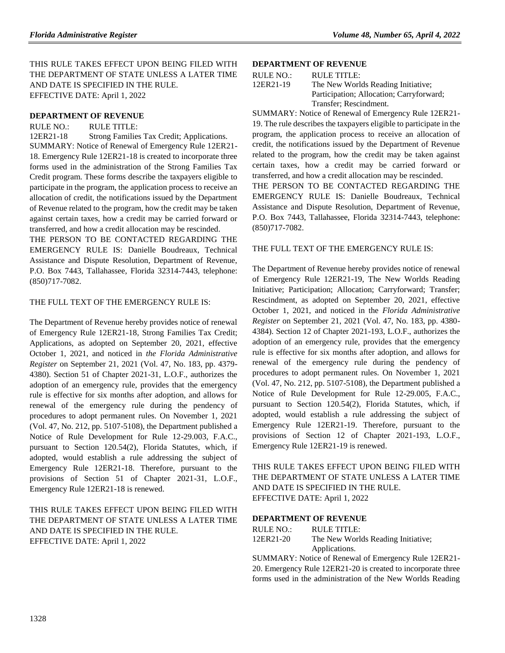THIS RULE TAKES EFFECT UPON BEING FILED WITH THE DEPARTMENT OF STATE UNLESS A LATER TIME AND DATE IS SPECIFIED IN THE RULE. EFFECTIVE DATE: April 1, 2022

#### **[DEPARTMENT OF REVENUE](https://www.flrules.org/gateway/department.asp?id=12)**

RULE NO.: RULE TITLE:

[12ER21-18](https://www.flrules.org/gateway/ruleNo.asp?id=12ER21-18) Strong Families Tax Credit; Applications. SUMMARY: Notice of Renewal of Emergency Rule 12ER21- 18. Emergency Rule 12ER21-18 is created to incorporate three forms used in the administration of the Strong Families Tax Credit program. These forms describe the taxpayers eligible to participate in the program, the application process to receive an allocation of credit, the notifications issued by the Department of Revenue related to the program, how the credit may be taken against certain taxes, how a credit may be carried forward or transferred, and how a credit allocation may be rescinded.

THE PERSON TO BE CONTACTED REGARDING THE EMERGENCY RULE IS: Danielle Boudreaux, Technical Assistance and Dispute Resolution, Department of Revenue, P.O. Box 7443, Tallahassee, Florida 32314-7443, telephone: (850)717-7082.

#### THE FULL TEXT OF THE EMERGENCY RULE IS:

The Department of Revenue hereby provides notice of renewal of Emergency Rule 12ER21-18, Strong Families Tax Credit; Applications, as adopted on September 20, 2021, effective October 1, 2021, and noticed in *the Florida Administrative Register* on September 21, 2021 (Vol. 47, No. 183, pp. 4379- 4380). Section 51 of Chapter 2021-31, L.O.F., authorizes the adoption of an emergency rule, provides that the emergency rule is effective for six months after adoption, and allows for renewal of the emergency rule during the pendency of procedures to adopt permanent rules. On November 1, 2021 (Vol. 47, No. 212, pp. 5107-5108), the Department published a Notice of Rule Development for Rule 12-29.003, F.A.C., pursuant to Section 120.54(2), Florida Statutes, which, if adopted, would establish a rule addressing the subject of Emergency Rule 12ER21-18. Therefore, pursuant to the provisions of Section 51 of Chapter 2021-31, L.O.F., Emergency Rule 12ER21-18 is renewed.

## THIS RULE TAKES EFFECT UPON BEING FILED WITH THE DEPARTMENT OF STATE UNLESS A LATER TIME AND DATE IS SPECIFIED IN THE RULE. EFFECTIVE DATE: April 1, 2022

#### **[DEPARTMENT OF REVENUE](https://www.flrules.org/gateway/department.asp?id=12)**

| RULE NO.: | RULE TITLE:                              |
|-----------|------------------------------------------|
| 12ER21-19 | The New Worlds Reading Initiative;       |
|           | Participation; Allocation; Carryforward; |
|           | Transfer; Rescindment.                   |

SUMMARY: Notice of Renewal of Emergency Rule 12ER21- 19. The rule describes the taxpayers eligible to participate in the program, the application process to receive an allocation of credit, the notifications issued by the Department of Revenue related to the program, how the credit may be taken against certain taxes, how a credit may be carried forward or transferred, and how a credit allocation may be rescinded. THE PERSON TO BE CONTACTED REGARDING THE EMERGENCY RULE IS: Danielle Boudreaux, Technical Assistance and Dispute Resolution, Department of Revenue, P.O. Box 7443, Tallahassee, Florida 32314-7443, telephone: (850)717-7082.

#### THE FULL TEXT OF THE EMERGENCY RULE IS:

The Department of Revenue hereby provides notice of renewal of Emergency Rule 12ER21-19, The New Worlds Reading Initiative; Participation; Allocation; Carryforward; Transfer; Rescindment, as adopted on September 20, 2021, effective October 1, 2021, and noticed in the *Florida Administrative Register* on September 21, 2021 (Vol. 47, No. 183, pp. 4380- 4384). Section 12 of Chapter 2021-193, L.O.F., authorizes the adoption of an emergency rule, provides that the emergency rule is effective for six months after adoption, and allows for renewal of the emergency rule during the pendency of procedures to adopt permanent rules. On November 1, 2021 (Vol. 47, No. 212, pp. 5107-5108), the Department published a Notice of Rule Development for Rule 12-29.005, F.A.C., pursuant to Section 120.54(2), Florida Statutes, which, if adopted, would establish a rule addressing the subject of Emergency Rule 12ER21-19. Therefore, pursuant to the provisions of Section 12 of Chapter 2021-193, L.O.F., Emergency Rule 12ER21-19 is renewed.

THIS RULE TAKES EFFECT UPON BEING FILED WITH THE DEPARTMENT OF STATE UNLESS A LATER TIME AND DATE IS SPECIFIED IN THE RULE. EFFECTIVE DATE: April 1, 2022

### **[DEPARTMENT OF REVENUE](https://www.flrules.org/gateway/department.asp?id=12)**

| RULE NO.: | RULE TITLE:                        |
|-----------|------------------------------------|
| 12ER21-20 | The New Worlds Reading Initiative; |
|           | Applications.                      |

SUMMARY: Notice of Renewal of Emergency Rule 12ER21- 20. Emergency Rule 12ER21-20 is created to incorporate three forms used in the administration of the New Worlds Reading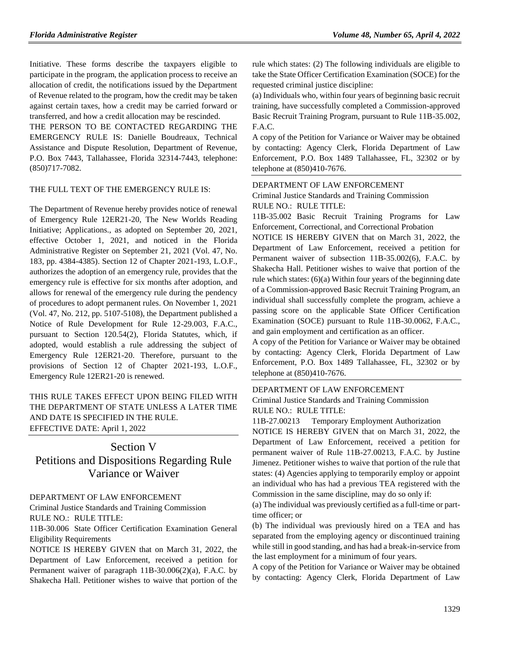Initiative. These forms describe the taxpayers eligible to participate in the program, the application process to receive an allocation of credit, the notifications issued by the Department of Revenue related to the program, how the credit may be taken against certain taxes, how a credit may be carried forward or transferred, and how a credit allocation may be rescinded.

THE PERSON TO BE CONTACTED REGARDING THE EMERGENCY RULE IS: Danielle Boudreaux, Technical Assistance and Dispute Resolution, Department of Revenue, P.O. Box 7443, Tallahassee, Florida 32314-7443, telephone: (850)717-7082.

#### THE FULL TEXT OF THE EMERGENCY RULE IS:

The Department of Revenue hereby provides notice of renewal of Emergency Rule 12ER21-20, The New Worlds Reading Initiative; Applications., as adopted on September 20, 2021, effective October 1, 2021, and noticed in the Florida Administrative Register on September 21, 2021 (Vol. 47, No. 183, pp. 4384-4385). Section 12 of Chapter 2021-193, L.O.F., authorizes the adoption of an emergency rule, provides that the emergency rule is effective for six months after adoption, and allows for renewal of the emergency rule during the pendency of procedures to adopt permanent rules. On November 1, 2021 (Vol. 47, No. 212, pp. 5107-5108), the Department published a Notice of Rule Development for Rule 12-29.003, F.A.C., pursuant to Section 120.54(2), Florida Statutes, which, if adopted, would establish a rule addressing the subject of Emergency Rule 12ER21-20. Therefore, pursuant to the provisions of Section 12 of Chapter 2021-193, L.O.F., Emergency Rule 12ER21-20 is renewed.

## THIS RULE TAKES EFFECT UPON BEING FILED WITH THE DEPARTMENT OF STATE UNLESS A LATER TIME AND DATE IS SPECIFIED IN THE RULE. EFFECTIVE DATE: April 1, 2022

# Section V Petitions and Dispositions Regarding Rule Variance or Waiver

#### [DEPARTMENT OF LAW ENFORCEMENT](https://www.flrules.org/gateway/department.asp?id=11)

[Criminal Justice Standards and Training Commission](https://www.flrules.org/gateway/organization.asp?id=20) RULE NO.: RULE TITLE:

[11B-30.006](https://www.flrules.org/gateway/ruleNo.asp?id=11B-30.006) State Officer Certification Examination General Eligibility Requirements

NOTICE IS HEREBY GIVEN that on March 31, 2022, the Department of Law Enforcement, received a petition for Permanent waiver of paragraph 11B-30.006(2)(a), F.A.C. by Shakecha Hall. Petitioner wishes to waive that portion of the rule which states: (2) The following individuals are eligible to take the State Officer Certification Examination (SOCE) for the requested criminal justice discipline:

(a) Individuals who, within four years of beginning basic recruit training, have successfully completed a Commission-approved Basic Recruit Training Program, pursuant to Rule 11B-35.002, F.A.C.

A copy of the Petition for Variance or Waiver may be obtained by contacting: Agency Clerk, Florida Department of Law Enforcement, P.O. Box 1489 Tallahassee, FL, 32302 or by telephone at (850)410-7676.

#### [DEPARTMENT OF LAW ENFORCEMENT](https://www.flrules.org/gateway/department.asp?id=11)

[Criminal Justice Standards and Training Commission](https://www.flrules.org/gateway/organization.asp?id=20) RULE NO.: RULE TITLE:

[11B-35.002](https://www.flrules.org/gateway/ruleNo.asp?id=11B-35.002) Basic Recruit Training Programs for Law Enforcement, Correctional, and Correctional Probation

NOTICE IS HEREBY GIVEN that on March 31, 2022, the Department of Law Enforcement, received a petition for Permanent waiver of subsection 11B-35.002(6), F.A.C. by Shakecha Hall. Petitioner wishes to waive that portion of the rule which states: (6)(a) Within four years of the beginning date of a Commission-approved Basic Recruit Training Program, an individual shall successfully complete the program, achieve a passing score on the applicable State Officer Certification Examination (SOCE) pursuant to Rule 11B-30.0062, F.A.C., and gain employment and certification as an officer.

A copy of the Petition for Variance or Waiver may be obtained by contacting: Agency Clerk, Florida Department of Law Enforcement, P.O. Box 1489 Tallahassee, FL, 32302 or by telephone at (850)410-7676.

#### [DEPARTMENT OF LAW ENFORCEMENT](https://www.flrules.org/gateway/department.asp?id=11)

[Criminal Justice Standards and Training Commission](https://www.flrules.org/gateway/organization.asp?id=20) RULE NO.: RULE TITLE:

[11B-27.00213](https://www.flrules.org/gateway/ruleNo.asp?id=11B-27.00213) Temporary Employment Authorization

NOTICE IS HEREBY GIVEN that on March 31, 2022, the Department of Law Enforcement, received a petition for permanent waiver of Rule 11B-27.00213, F.A.C. by Justine Jimenez. Petitioner wishes to waive that portion of the rule that states: (4) Agencies applying to temporarily employ or appoint an individual who has had a previous TEA registered with the Commission in the same discipline, may do so only if:

(a) The individual was previously certified as a full-time or parttime officer; or

(b) The individual was previously hired on a TEA and has separated from the employing agency or discontinued training while still in good standing, and has had a break-in-service from the last employment for a minimum of four years.

A copy of the Petition for Variance or Waiver may be obtained by contacting: Agency Clerk, Florida Department of Law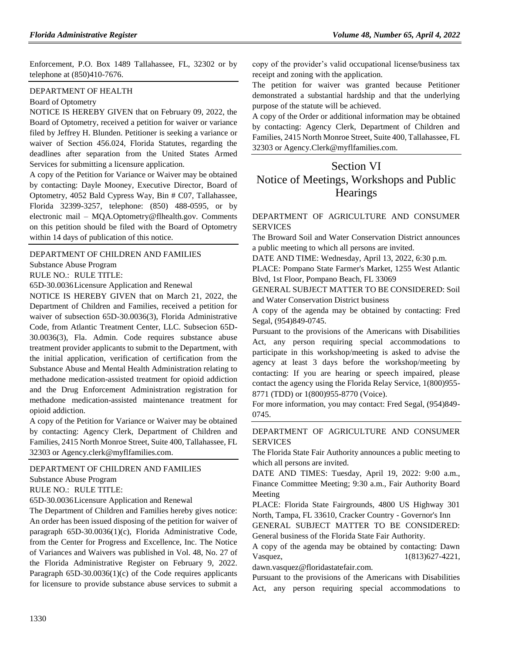Enforcement, P.O. Box 1489 Tallahassee, FL, 32302 or by telephone at (850)410-7676.

### [DEPARTMENT OF HEALTH](https://www.flrules.org/gateway/department.asp?id=64)

#### [Board of Optometry](https://www.flrules.org/gateway/organization.asp?id=304)

NOTICE IS HEREBY GIVEN that on February 09, 2022, the Board of Optometry, received a petition for waiver or variance filed by Jeffrey H. Blunden. Petitioner is seeking a variance or waiver of Section 456.024, Florida Statutes, regarding the deadlines after separation from the United States Armed Services for submitting a licensure application.

A copy of the Petition for Variance or Waiver may be obtained by contacting: Dayle Mooney, Executive Director, Board of Optometry, 4052 Bald Cypress Way, Bin # C07, Tallahassee, Florida 32399-3257, telephone: (850) 488-0595, or by electronic mail – MQA.Optometry@flhealth.gov. Comments on this petition should be filed with the Board of Optometry within 14 days of publication of this notice.

#### [DEPARTMENT OF CHILDREN AND FAMILIES](https://www.flrules.org/gateway/department.asp?id=65)

[Substance Abuse Program](https://www.flrules.org/gateway/organization.asp?id=343)

RULE NO.: RULE TITLE:

[65D-30.0036L](https://www.flrules.org/gateway/ruleNo.asp?id=65D-30.0036)icensure Application and Renewal

NOTICE IS HEREBY GIVEN that on March 21, 2022, the Department of Children and Families, received a petition for waiver of subsection 65D-30.0036(3), Florida Administrative Code, from Atlantic Treatment Center, LLC. Subsecion 65D-30.0036(3), Fla. Admin. Code requires substance abuse treatment provider applicants to submit to the Department, with the initial application, verification of certification from the Substance Abuse and Mental Health Administration relating to methadone medication-assisted treatment for opioid addiction and the Drug Enforcement Administration registration for methadone medication-assisted maintenance treatment for opioid addiction.

A copy of the Petition for Variance or Waiver may be obtained by contacting: Agency Clerk, Department of Children and Families, 2415 North Monroe Street, Suite 400, Tallahassee, FL 32303 or Agency.clerk@myflfamilies.com.

#### [DEPARTMENT OF CHILDREN AND FAMILIES](https://www.flrules.org/gateway/department.asp?id=65)

[Substance Abuse Program](https://www.flrules.org/gateway/organization.asp?id=343)

RULE NO.: RULE TITLE:

[65D-30.0036L](https://www.flrules.org/gateway/ruleNo.asp?id=65D-30.0036)icensure Application and Renewal

The Department of Children and Families hereby gives notice: An order has been issued disposing of the petition for waiver of paragraph 65D-30.0036(1)(c), Florida Administrative Code, from the Center for Progress and Excellence, Inc. The Notice of Variances and Waivers was published in Vol. 48, No. 27 of the Florida Administrative Register on February 9, 2022. Paragraph 65D-30.0036(1)(c) of the Code requires applicants for licensure to provide substance abuse services to submit a copy of the provider's valid occupational license/business tax receipt and zoning with the application.

The petition for waiver was granted because Petitioner demonstrated a substantial hardship and that the underlying purpose of the statute will be achieved.

A copy of the Order or additional information may be obtained by contacting: Agency Clerk, Department of Children and Families, 2415 North Monroe Street, Suite 400, Tallahassee, FL 32303 or Agency.Clerk@myflfamilies.com.

# Section VI Notice of Meetings, Workshops and Public **Hearings**

#### [DEPARTMENT OF AGRICULTURE AND CONSUMER](https://www.flrules.org/gateway/department.asp?id=5)  **[SERVICES](https://www.flrules.org/gateway/department.asp?id=5)**

The Broward Soil and Water Conservation District announces a public meeting to which all persons are invited.

DATE AND TIME: Wednesday, April 13, 2022, 6:30 p.m.

PLACE: Pompano State Farmer's Market, 1255 West Atlantic Blvd, 1st Floor, Pompano Beach, FL 33069

GENERAL SUBJECT MATTER TO BE CONSIDERED: Soil and Water Conservation District business

A copy of the agenda may be obtained by contacting: Fred Segal, (954)849-0745.

Pursuant to the provisions of the Americans with Disabilities Act, any person requiring special accommodations to participate in this workshop/meeting is asked to advise the agency at least 3 days before the workshop/meeting by contacting: If you are hearing or speech impaired, please contact the agency using the Florida Relay Service, 1(800)955- 8771 (TDD) or 1(800)955-8770 (Voice).

For more information, you may contact: Fred Segal, (954)849- 0745.

### [DEPARTMENT OF AGRICULTURE AND CONSUMER](https://www.flrules.org/gateway/department.asp?id=5)  **[SERVICES](https://www.flrules.org/gateway/department.asp?id=5)**

The Florida State Fair Authority announces a public meeting to which all persons are invited.

DATE AND TIMES: Tuesday, April 19, 2022: 9:00 a.m., Finance Committee Meeting; 9:30 a.m., Fair Authority Board Meeting

PLACE: Florida State Fairgrounds, 4800 US Highway 301 North, Tampa, FL 33610, Cracker Country - Governor's Inn

GENERAL SUBJECT MATTER TO BE CONSIDERED: General business of the Florida State Fair Authority.

A copy of the agenda may be obtained by contacting: Dawn Vasquez, 1(813) 627-4221,

dawn.vasquez@floridastatefair.com.

Pursuant to the provisions of the Americans with Disabilities Act, any person requiring special accommodations to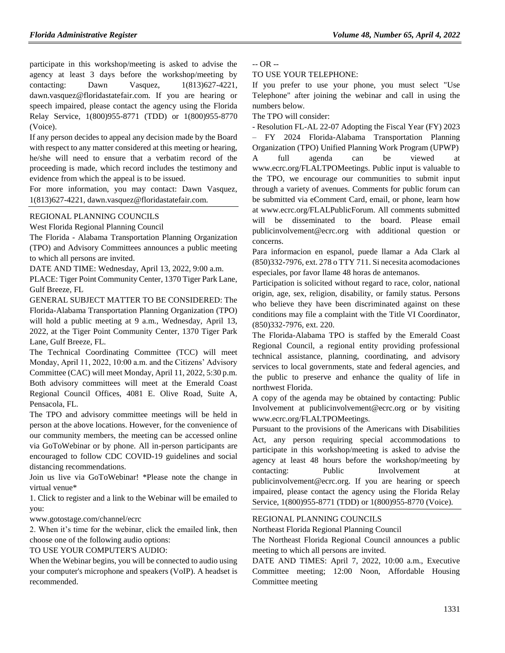participate in this workshop/meeting is asked to advise the agency at least 3 days before the workshop/meeting by contacting: Dawn Vasquez,  $1(813)627-4221$ , dawn.vasquez@floridastatefair.com. If you are hearing or speech impaired, please contact the agency using the Florida Relay Service, 1(800)955-8771 (TDD) or 1(800)955-8770 (Voice).

If any person decides to appeal any decision made by the Board with respect to any matter considered at this meeting or hearing, he/she will need to ensure that a verbatim record of the proceeding is made, which record includes the testimony and evidence from which the appeal is to be issued.

For more information, you may contact: Dawn Vasquez, 1(813)627-4221, dawn.vasquez@floridastatefair.com.

### [REGIONAL PLANNING COUNCILS](https://www.flrules.org/gateway/department.asp?id=29)

[West Florida Regional Planning Council](https://www.flrules.org/gateway/organization.asp?id=57)

The Florida - Alabama Transportation Planning Organization (TPO) and Advisory Committees announces a public meeting to which all persons are invited.

DATE AND TIME: Wednesday, April 13, 2022, 9:00 a.m.

PLACE: Tiger Point Community Center, 1370 Tiger Park Lane, Gulf Breeze, FL

GENERAL SUBJECT MATTER TO BE CONSIDERED: The Florida-Alabama Transportation Planning Organization (TPO) will hold a public meeting at 9 a.m., Wednesday, April 13, 2022, at the Tiger Point Community Center, 1370 Tiger Park Lane, Gulf Breeze, FL.

The Technical Coordinating Committee (TCC) will meet Monday, April 11, 2022, 10:00 a.m. and the Citizens' Advisory Committee (CAC) will meet Monday, April 11, 2022, 5:30 p.m. Both advisory committees will meet at the Emerald Coast Regional Council Offices, 4081 E. Olive Road, Suite A, Pensacola, FL.

The TPO and advisory committee meetings will be held in person at the above locations. However, for the convenience of our community members, the meeting can be accessed online via GoToWebinar or by phone. All in-person participants are encouraged to follow CDC COVID-19 guidelines and social distancing recommendations.

Join us live via GoToWebinar! \*Please note the change in virtual venue\*

1. Click to register and a link to the Webinar will be emailed to you:

www.gotostage.com/channel/ecrc

2. When it's time for the webinar, click the emailed link, then choose one of the following audio options:

### TO USE YOUR COMPUTER'S AUDIO:

When the Webinar begins, you will be connected to audio using your computer's microphone and speakers (VoIP). A headset is recommended.

-- OR --

TO USE YOUR TELEPHONE:

If you prefer to use your phone, you must select "Use Telephone" after joining the webinar and call in using the numbers below.

The TPO will consider:

- Resolution FL-AL 22-07 Adopting the Fiscal Year (FY) 2023 – FY 2024 Florida-Alabama Transportation Planning Organization (TPO) Unified Planning Work Program (UPWP) A full agenda can be viewed at www.ecrc.org/FLALTPOMeetings. Public input is valuable to the TPO, we encourage our communities to submit input through a variety of avenues. Comments for public forum can be submitted via eComment Card, email, or phone, learn how at www.ecrc.org/FLALPublicForum. All comments submitted will be disseminated to the board. Please email publicinvolvement@ecrc.org with additional question or concerns.

Para informacion en espanol, puede llamar a Ada Clark al (850)332-7976, ext. 278 o TTY 711. Si necesita acomodaciones especiales, por favor llame 48 horas de antemanos.

Participation is solicited without regard to race, color, national origin, age, sex, religion, disability, or family status. Persons who believe they have been discriminated against on these conditions may file a complaint with the Title VI Coordinator, (850)332-7976, ext. 220.

The Florida-Alabama TPO is staffed by the Emerald Coast Regional Council, a regional entity providing professional technical assistance, planning, coordinating, and advisory services to local governments, state and federal agencies, and the public to preserve and enhance the quality of life in northwest Florida.

A copy of the agenda may be obtained by contacting: Public Involvement at publicinvolvement@ecrc.org or by visiting www.ecrc.org/FLALTPOMeetings.

Pursuant to the provisions of the Americans with Disabilities Act, any person requiring special accommodations to participate in this workshop/meeting is asked to advise the agency at least 48 hours before the workshop/meeting by contacting: Public Involvement at publicinvolvement@ecrc.org. If you are hearing or speech impaired, please contact the agency using the Florida Relay Service, 1(800)955-8771 (TDD) or 1(800)955-8770 (Voice).

### [REGIONAL PLANNING COUNCILS](https://www.flrules.org/gateway/department.asp?id=29)

[Northeast Florida Regional Planning Council](https://www.flrules.org/gateway/organization.asp?id=60)

The Northeast Florida Regional Council announces a public meeting to which all persons are invited.

DATE AND TIMES: April 7, 2022, 10:00 a.m., Executive Committee meeting; 12:00 Noon, Affordable Housing Committee meeting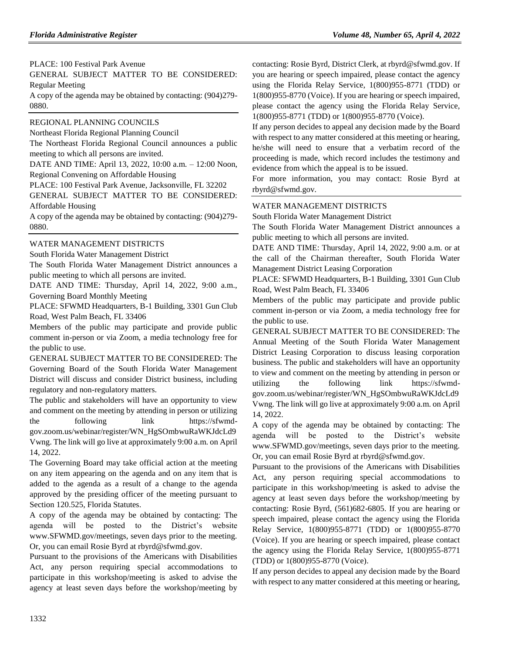PLACE: 100 Festival Park Avenue GENERAL SUBJECT MATTER TO BE CONSIDERED: Regular Meeting

A copy of the agenda may be obtained by contacting: (904)279- 0880.

### [REGIONAL PLANNING COUNCILS](https://www.flrules.org/gateway/department.asp?id=29)

[Northeast Florida Regional Planning Council](https://www.flrules.org/gateway/organization.asp?id=60)

The Northeast Florida Regional Council announces a public meeting to which all persons are invited.

DATE AND TIME: April 13, 2022, 10:00 a.m. – 12:00 Noon, Regional Convening on Affordable Housing

PLACE: 100 Festival Park Avenue, Jacksonville, FL 32202

GENERAL SUBJECT MATTER TO BE CONSIDERED: Affordable Housing

A copy of the agenda may be obtained by contacting: (904)279- 0880.

## [WATER MANAGEMENT DISTRICTS](https://www.flrules.org/gateway/department.asp?id=40)

[South Florida Water Management District](https://www.flrules.org/gateway/organization.asp?id=124)

The South Florida Water Management District announces a public meeting to which all persons are invited.

DATE AND TIME: Thursday, April 14, 2022, 9:00 a.m., Governing Board Monthly Meeting

PLACE: SFWMD Headquarters, B-1 Building, 3301 Gun Club Road, West Palm Beach, FL 33406

Members of the public may participate and provide public comment in-person or via Zoom, a media technology free for the public to use.

GENERAL SUBJECT MATTER TO BE CONSIDERED: The Governing Board of the South Florida Water Management District will discuss and consider District business, including regulatory and non-regulatory matters.

The public and stakeholders will have an opportunity to view and comment on the meeting by attending in person or utilizing the following link https://sfwmdgov.zoom.us/webinar/register/WN\_HgSOmbwuRaWKJdcLd9 Vwng. The link will go live at approximately 9:00 a.m. on April 14, 2022.

The Governing Board may take official action at the meeting on any item appearing on the agenda and on any item that is added to the agenda as a result of a change to the agenda approved by the presiding officer of the meeting pursuant to Section 120.525, Florida Statutes.

A copy of the agenda may be obtained by contacting: The agenda will be posted to the District's website www.SFWMD.gov/meetings, seven days prior to the meeting. Or, you can email Rosie Byrd at rbyrd@sfwmd.gov.

Pursuant to the provisions of the Americans with Disabilities Act, any person requiring special accommodations to participate in this workshop/meeting is asked to advise the agency at least seven days before the workshop/meeting by contacting: Rosie Byrd, District Clerk, at rbyrd@sfwmd.gov. If you are hearing or speech impaired, please contact the agency using the Florida Relay Service, 1(800)955-8771 (TDD) or 1(800)955-8770 (Voice). If you are hearing or speech impaired, please contact the agency using the Florida Relay Service, 1(800)955-8771 (TDD) or 1(800)955-8770 (Voice).

If any person decides to appeal any decision made by the Board with respect to any matter considered at this meeting or hearing, he/she will need to ensure that a verbatim record of the proceeding is made, which record includes the testimony and evidence from which the appeal is to be issued.

For more information, you may contact: Rosie Byrd at rbyrd@sfwmd.gov.

## [WATER MANAGEMENT DISTRICTS](https://www.flrules.org/gateway/department.asp?id=40)

[South Florida Water Management District](https://www.flrules.org/gateway/organization.asp?id=124)

The South Florida Water Management District announces a public meeting to which all persons are invited.

DATE AND TIME: Thursday, April 14, 2022, 9:00 a.m. or at the call of the Chairman thereafter, South Florida Water Management District Leasing Corporation

PLACE: SFWMD Headquarters, B-1 Building, 3301 Gun Club Road, West Palm Beach, FL 33406

Members of the public may participate and provide public comment in-person or via Zoom, a media technology free for the public to use.

GENERAL SUBJECT MATTER TO BE CONSIDERED: The Annual Meeting of the South Florida Water Management District Leasing Corporation to discuss leasing corporation business. The public and stakeholders will have an opportunity to view and comment on the meeting by attending in person or utilizing the following link https://sfwmdgov.zoom.us/webinar/register/WN\_HgSOmbwuRaWKJdcLd9 Vwng. The link will go live at approximately 9:00 a.m. on April 14, 2022.

A copy of the agenda may be obtained by contacting: The agenda will be posted to the District's website www.SFWMD.gov/meetings, seven days prior to the meeting. Or, you can email Rosie Byrd at rbyrd@sfwmd.gov.

Pursuant to the provisions of the Americans with Disabilities Act, any person requiring special accommodations to participate in this workshop/meeting is asked to advise the agency at least seven days before the workshop/meeting by contacting: Rosie Byrd, (561)682-6805. If you are hearing or speech impaired, please contact the agency using the Florida Relay Service, 1(800)955-8771 (TDD) or 1(800)955-8770 (Voice). If you are hearing or speech impaired, please contact the agency using the Florida Relay Service, 1(800)955-8771 (TDD) or 1(800)955-8770 (Voice).

If any person decides to appeal any decision made by the Board with respect to any matter considered at this meeting or hearing,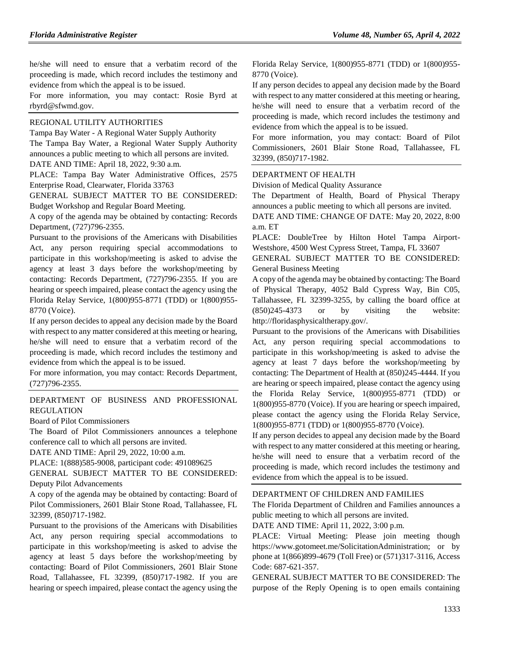he/she will need to ensure that a verbatim record of the proceeding is made, which record includes the testimony and evidence from which the appeal is to be issued.

For more information, you may contact: Rosie Byrd at rbyrd@sfwmd.gov.

#### [REGIONAL UTILITY AUTHORITIES](https://www.flrules.org/gateway/department.asp?id=49)

Tampa Bay Water - [A Regional Water Supply Authority](https://www.flrules.org/gateway/organization.asp?id=158) The Tampa Bay Water, a Regional Water Supply Authority announces a public meeting to which all persons are invited.

DATE AND TIME: April 18, 2022, 9:30 a.m.

PLACE: Tampa Bay Water Administrative Offices, 2575 Enterprise Road, Clearwater, Florida 33763

GENERAL SUBJECT MATTER TO BE CONSIDERED: Budget Workshop and Regular Board Meeting.

A copy of the agenda may be obtained by contacting: Records Department, (727)796-2355.

Pursuant to the provisions of the Americans with Disabilities Act, any person requiring special accommodations to participate in this workshop/meeting is asked to advise the agency at least 3 days before the workshop/meeting by contacting: Records Department, (727)796-2355. If you are hearing or speech impaired, please contact the agency using the Florida Relay Service, 1(800)955-8771 (TDD) or 1(800)955- 8770 (Voice).

If any person decides to appeal any decision made by the Board with respect to any matter considered at this meeting or hearing, he/she will need to ensure that a verbatim record of the proceeding is made, which record includes the testimony and evidence from which the appeal is to be issued.

For more information, you may contact: Records Department, (727)796-2355.

## [DEPARTMENT OF BUSINESS AND PROFESSIONAL](https://www.flrules.org/gateway/department.asp?id=61)  [REGULATION](https://www.flrules.org/gateway/department.asp?id=61)

[Board of Pilot Commissioners](https://www.flrules.org/gateway/organization.asp?id=266)

The Board of Pilot Commissioners announces a telephone conference call to which all persons are invited.

DATE AND TIME: April 29, 2022, 10:00 a.m.

PLACE: 1(888)585-9008, participant code: 491089625

GENERAL SUBJECT MATTER TO BE CONSIDERED: Deputy Pilot Advancements

A copy of the agenda may be obtained by contacting: Board of Pilot Commissioners, 2601 Blair Stone Road, Tallahassee, FL 32399, (850)717-1982.

Pursuant to the provisions of the Americans with Disabilities Act, any person requiring special accommodations to participate in this workshop/meeting is asked to advise the agency at least 5 days before the workshop/meeting by contacting: Board of Pilot Commissioners, 2601 Blair Stone Road, Tallahassee, FL 32399, (850)717-1982. If you are hearing or speech impaired, please contact the agency using the Florida Relay Service, 1(800)955-8771 (TDD) or 1(800)955- 8770 (Voice).

If any person decides to appeal any decision made by the Board with respect to any matter considered at this meeting or hearing, he/she will need to ensure that a verbatim record of the proceeding is made, which record includes the testimony and evidence from which the appeal is to be issued.

For more information, you may contact: Board of Pilot Commissioners, 2601 Blair Stone Road, Tallahassee, FL 32399, (850)717-1982.

#### [DEPARTMENT OF HEALTH](https://www.flrules.org/gateway/department.asp?id=64)

[Division of Medical Quality Assurance](https://www.flrules.org/gateway/organization.asp?id=299)

The Department of Health, Board of Physical Therapy announces a public meeting to which all persons are invited.

DATE AND TIME: CHANGE OF DATE: May 20, 2022, 8:00 a.m. ET

PLACE: DoubleTree by Hilton Hotel Tampa Airport-Westshore, 4500 West Cypress Street, Tampa, FL 33607

GENERAL SUBJECT MATTER TO BE CONSIDERED: General Business Meeting

A copy of the agenda may be obtained by contacting: The Board of Physical Therapy, 4052 Bald Cypress Way, Bin C05, Tallahassee, FL 32399-3255, by calling the board office at (850)245-4373 or by visiting the website: http://floridasphysicaltherapy.gov/.

Pursuant to the provisions of the Americans with Disabilities Act, any person requiring special accommodations to participate in this workshop/meeting is asked to advise the agency at least 7 days before the workshop/meeting by contacting: The Department of Health at (850)245-4444. If you are hearing or speech impaired, please contact the agency using the Florida Relay Service, 1(800)955-8771 (TDD) or 1(800)955-8770 (Voice). If you are hearing or speech impaired, please contact the agency using the Florida Relay Service, 1(800)955-8771 (TDD) or 1(800)955-8770 (Voice).

If any person decides to appeal any decision made by the Board with respect to any matter considered at this meeting or hearing, he/she will need to ensure that a verbatim record of the proceeding is made, which record includes the testimony and evidence from which the appeal is to be issued.

#### [DEPARTMENT OF CHILDREN AND FAMILIES](https://www.flrules.org/gateway/department.asp?id=65)

The Florida Department of Children and Families announces a public meeting to which all persons are invited.

DATE AND TIME: April 11, 2022, 3:00 p.m.

PLACE: Virtual Meeting: Please join meeting though https://www.gotomeet.me/SolicitationAdministration; or by phone at 1(866)899-4679 (Toll Free) or (571)317-3116, Access Code: 687-621-357.

GENERAL SUBJECT MATTER TO BE CONSIDERED: The purpose of the Reply Opening is to open emails containing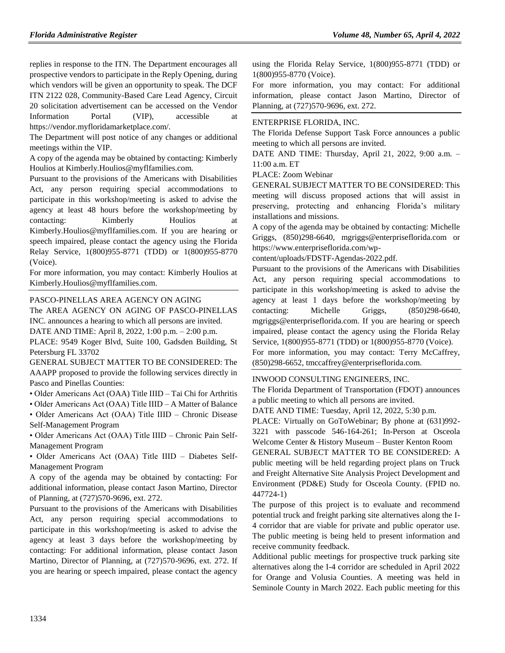replies in response to the ITN. The Department encourages all prospective vendors to participate in the Reply Opening, during which vendors will be given an opportunity to speak. The DCF ITN 2122 028, Community-Based Care Lead Agency, Circuit 20 solicitation advertisement can be accessed on the Vendor Information Portal (VIP), accessible at https://vendor.myfloridamarketplace.com/.

The Department will post notice of any changes or additional meetings within the VIP.

A copy of the agenda may be obtained by contacting: Kimberly Houlios at Kimberly.Houlios@myflfamilies.com.

Pursuant to the provisions of the Americans with Disabilities Act, any person requiring special accommodations to participate in this workshop/meeting is asked to advise the agency at least 48 hours before the workshop/meeting by contacting: Kimberly Houlios at Kimberly.Houlios@myflfamilies.com. If you are hearing or speech impaired, please contact the agency using the Florida Relay Service, 1(800)955-8771 (TDD) or 1(800)955-8770 (Voice).

For more information, you may contact: Kimberly Houlios at Kimberly.Houlios@myflfamilies.com.

### [PASCO-PINELLAS AREA AGENCY ON AGING](https://www.flrules.org/gateway/organization.asp?id=569)

The AREA AGENCY ON AGING OF PASCO-PINELLAS INC. announces a hearing to which all persons are invited.

DATE AND TIME: April 8, 2022, 1:00 p.m. – 2:00 p.m.

PLACE: 9549 Koger Blvd, Suite 100, Gadsden Building, St Petersburg FL 33702

GENERAL SUBJECT MATTER TO BE CONSIDERED: The AAAPP proposed to provide the following services directly in Pasco and Pinellas Counties:

• Older Americans Act (OAA) Title IIID – Tai Chi for Arthritis

• Older Americans Act (OAA) Title IIID – A Matter of Balance

• Older Americans Act (OAA) Title IIID – Chronic Disease Self-Management Program

• Older Americans Act (OAA) Title IIID – Chronic Pain Self-Management Program

• Older Americans Act (OAA) Title IIID – Diabetes Self-Management Program

A copy of the agenda may be obtained by contacting: For additional information, please contact Jason Martino, Director of Planning, at (727)570-9696, ext. 272.

Pursuant to the provisions of the Americans with Disabilities Act, any person requiring special accommodations to participate in this workshop/meeting is asked to advise the agency at least 3 days before the workshop/meeting by contacting: For additional information, please contact Jason Martino, Director of Planning, at (727)570-9696, ext. 272. If you are hearing or speech impaired, please contact the agency using the Florida Relay Service, 1(800)955-8771 (TDD) or 1(800)955-8770 (Voice).

For more information, you may contact: For additional information, please contact Jason Martino, Director of Planning, at (727)570-9696, ext. 272.

## [ENTERPRISE FLORIDA, INC.](https://www.flrules.org/gateway/organization.asp?id=680)

The Florida Defense Support Task Force announces a public meeting to which all persons are invited.

DATE AND TIME: Thursday, April 21, 2022, 9:00 a.m. – 11:00 a.m. ET

PLACE: Zoom Webinar

GENERAL SUBJECT MATTER TO BE CONSIDERED: This meeting will discuss proposed actions that will assist in preserving, protecting and enhancing Florida's military installations and missions.

A copy of the agenda may be obtained by contacting: Michelle Griggs, (850)298-6640, mgriggs@enterpriseflorida.com or https://www.enterpriseflorida.com/wp-

content/uploads/FDSTF-Agendas-2022.pdf.

Pursuant to the provisions of the Americans with Disabilities Act, any person requiring special accommodations to participate in this workshop/meeting is asked to advise the agency at least 1 days before the workshop/meeting by contacting: Michelle Griggs, (850)298-6640, mgriggs@enterpriseflorida.com. If you are hearing or speech impaired, please contact the agency using the Florida Relay Service, 1(800)955-8771 (TDD) or 1(800)955-8770 (Voice). For more information, you may contact: Terry McCaffrey,

(850)298-6652, tmccaffrey@enterpriseflorida.com.

### [INWOOD CONSULTING ENGINEERS, INC.](https://www.flrules.org/gateway/organization.asp?id=992)

The Florida Department of Transportation (FDOT) announces a public meeting to which all persons are invited.

DATE AND TIME: Tuesday, April 12, 2022, 5:30 p.m.

PLACE: Virtually on GoToWebinar; By phone at (631)992- 3221 with passcode 546-164-261; In-Person at Osceola Welcome Center & History Museum – Buster Kenton Room GENERAL SUBJECT MATTER TO BE CONSIDERED: A public meeting will be held regarding project plans on Truck and Freight Alternative Site Analysis Project Development and Environment (PD&E) Study for Osceola County. (FPID no. 447724-1)

The purpose of this project is to evaluate and recommend potential truck and freight parking site alternatives along the I-4 corridor that are viable for private and public operator use. The public meeting is being held to present information and receive community feedback.

Additional public meetings for prospective truck parking site alternatives along the I-4 corridor are scheduled in April 2022 for Orange and Volusia Counties. A meeting was held in Seminole County in March 2022. Each public meeting for this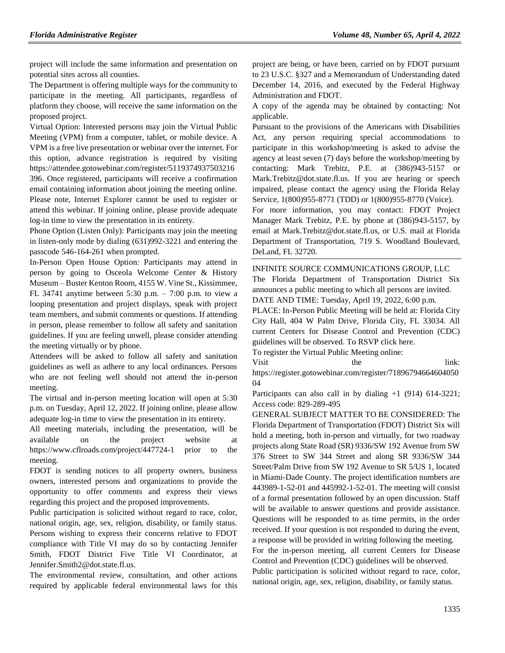project will include the same information and presentation on potential sites across all counties.

The Department is offering multiple ways for the community to participate in the meeting. All participants, regardless of platform they choose, will receive the same information on the proposed project.

Virtual Option: Interested persons may join the Virtual Public Meeting (VPM) from a computer, tablet, or mobile device. A VPM is a free live presentation or webinar over the internet. For this option, advance registration is required by visiting https://attendee.gotowebinar.com/register/5119374937503216 396. Once registered, participants will receive a confirmation email containing information about joining the meeting online. Please note, Internet Explorer cannot be used to register or attend this webinar. If joining online, please provide adequate log-in time to view the presentation in its entirety.

Phone Option (Listen Only): Participants may join the meeting in listen-only mode by dialing (631)992-3221 and entering the passcode 546-164-261 when prompted.

In-Person Open House Option: Participants may attend in person by going to Osceola Welcome Center & History Museum – Buster Kenton Room, 4155 W. Vine St., Kissimmee, FL 34741 anytime between 5:30 p.m. – 7:00 p.m. to view a looping presentation and project displays, speak with project team members, and submit comments or questions. If attending in person, please remember to follow all safety and sanitation guidelines. If you are feeling unwell, please consider attending the meeting virtually or by phone.

Attendees will be asked to follow all safety and sanitation guidelines as well as adhere to any local ordinances. Persons who are not feeling well should not attend the in-person meeting.

The virtual and in-person meeting location will open at 5:30 p.m. on Tuesday, April 12, 2022. If joining online, please allow adequate log-in time to view the presentation in its entirety.

All meeting materials, including the presentation, will be available on the project website at https://www.cflroads.com/project/447724-1 prior to the meeting.

FDOT is sending notices to all property owners, business owners, interested persons and organizations to provide the opportunity to offer comments and express their views regarding this project and the proposed improvements.

Public participation is solicited without regard to race, color, national origin, age, sex, religion, disability, or family status. Persons wishing to express their concerns relative to FDOT compliance with Title VI may do so by contacting Jennifer Smith, FDOT District Five Title VI Coordinator, at Jennifer.Smith2@dot.state.fl.us.

The environmental review, consultation, and other actions required by applicable federal environmental laws for this project are being, or have been, carried on by FDOT pursuant to 23 U.S.C. §327 and a Memorandum of Understanding dated December 14, 2016, and executed by the Federal Highway Administration and FDOT.

A copy of the agenda may be obtained by contacting: Not applicable.

Pursuant to the provisions of the Americans with Disabilities Act, any person requiring special accommodations to participate in this workshop/meeting is asked to advise the agency at least seven (7) days before the workshop/meeting by contacting: Mark Trebitz, P.E. at (386)943-5157 or Mark.Trebitz@dot.state.fl.us. If you are hearing or speech impaired, please contact the agency using the Florida Relay Service, 1(800)955-8771 (TDD) or 1(800)955-8770 (Voice).

For more information, you may contact: FDOT Project Manager Mark Trebitz, P.E. by phone at (386)943-5157, by email at Mark.Trebitz@dot.state.fl.us, or U.S. mail at Florida Department of Transportation, 719 S. Woodland Boulevard, DeLand, FL 32720.

[INFINITE SOURCE COMMUNICATIONS GROUP, LLC](https://www.flrules.org/gateway/organization.asp?id=1035) The Florida Department of Transportation District Six announces a public meeting to which all persons are invited. DATE AND TIME: Tuesday, April 19, 2022, 6:00 p.m.

PLACE: In-Person Public Meeting will be held at: Florida City City Hall, 404 W Palm Drive, Florida City, FL 33034. All current Centers for Disease Control and Prevention (CDC) guidelines will be observed. To RSVP click here.

To register the Virtual Public Meeting online:

Visit the link:

https://register.gotowebinar.com/register/71896794664604050 04

Participants can also call in by dialing  $+1$  (914) 614-3221; Access code: 829-289-495

GENERAL SUBJECT MATTER TO BE CONSIDERED: The Florida Department of Transportation (FDOT) District Six will hold a meeting, both in-person and virtually, for two roadway projects along State Road (SR) 9336/SW 192 Avenue from SW 376 Street to SW 344 Street and along SR 9336/SW 344 Street/Palm Drive from SW 192 Avenue to SR 5/US 1, located in Miami-Dade County. The project identification numbers are 443989-1-52-01 and 445992-1-52-01. The meeting will consist of a formal presentation followed by an open discussion. Staff will be available to answer questions and provide assistance. Questions will be responded to as time permits, in the order received. If your question is not responded to during the event, a response will be provided in writing following the meeting. For the in-person meeting, all current Centers for Disease Control and Prevention (CDC) guidelines will be observed. Public participation is solicited without regard to race, color, national origin, age, sex, religion, disability, or family status.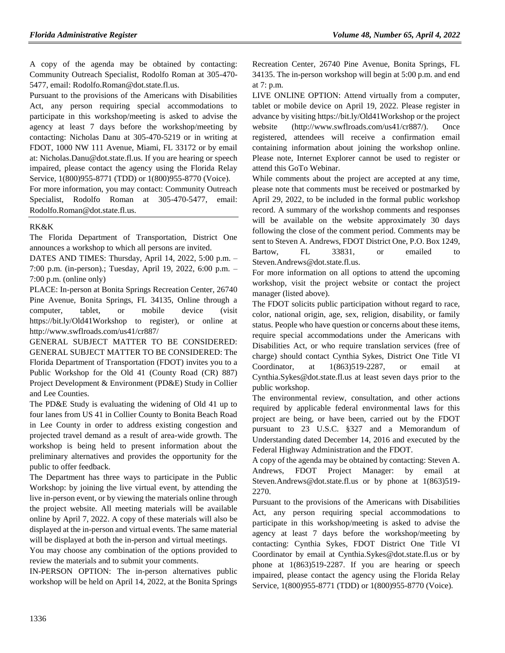A copy of the agenda may be obtained by contacting: Community Outreach Specialist, Rodolfo Roman at 305-470- 5477, email: Rodolfo.Roman@dot.state.fl.us.

Pursuant to the provisions of the Americans with Disabilities Act, any person requiring special accommodations to participate in this workshop/meeting is asked to advise the agency at least 7 days before the workshop/meeting by contacting: Nicholas Danu at 305-470-5219 or in writing at FDOT, 1000 NW 111 Avenue, Miami, FL 33172 or by email at: Nicholas.Danu@dot.state.fl.us. If you are hearing or speech impaired, please contact the agency using the Florida Relay Service, 1(800)955-8771 (TDD) or 1(800)955-8770 (Voice).

For more information, you may contact: Community Outreach Specialist, Rodolfo Roman at 305-470-5477, email: Rodolfo.Roman@dot.state.fl.us.

## [RK&K](https://www.flrules.org/gateway/organization.asp?id=1158)

The Florida Department of Transportation, District One announces a workshop to which all persons are invited.

DATES AND TIMES: Thursday, April 14, 2022, 5:00 p.m. – 7:00 p.m. (in-person).; Tuesday, April 19, 2022, 6:00 p.m. – 7:00 p.m. (online only)

PLACE: In-person at Bonita Springs Recreation Center, 26740 Pine Avenue, Bonita Springs, FL 34135, Online through a computer, tablet, or mobile device (visit https://bit.ly/Old41Workshop to register), or online at http://www.swflroads.com/us41/cr887/

GENERAL SUBJECT MATTER TO BE CONSIDERED: GENERAL SUBJECT MATTER TO BE CONSIDERED: The Florida Department of Transportation (FDOT) invites you to a Public Workshop for the Old 41 (County Road (CR) 887) Project Development & Environment (PD&E) Study in Collier and Lee Counties.

The PD&E Study is evaluating the widening of Old 41 up to four lanes from US 41 in Collier County to Bonita Beach Road in Lee County in order to address existing congestion and projected travel demand as a result of area-wide growth. The workshop is being held to present information about the preliminary alternatives and provides the opportunity for the public to offer feedback.

The Department has three ways to participate in the Public Workshop: by joining the live virtual event, by attending the live in-person event, or by viewing the materials online through the project website. All meeting materials will be available online by April 7, 2022. A copy of these materials will also be displayed at the in-person and virtual events. The same material will be displayed at both the in-person and virtual meetings.

You may choose any combination of the options provided to review the materials and to submit your comments.

IN-PERSON OPTION: The in-person alternatives public workshop will be held on April 14, 2022, at the Bonita Springs

Recreation Center, 26740 Pine Avenue, Bonita Springs, FL 34135. The in-person workshop will begin at 5:00 p.m. and end at 7: p.m.

LIVE ONLINE OPTION: Attend virtually from a computer, tablet or mobile device on April 19, 2022. Please register in advance by visiting https://bit.ly/Old41Workshop or the project website (http://www.swflroads.com/us41/cr887/). Once registered, attendees will receive a confirmation email containing information about joining the workshop online. Please note, Internet Explorer cannot be used to register or attend this GoTo Webinar.

While comments about the project are accepted at any time, please note that comments must be received or postmarked by April 29, 2022, to be included in the formal public workshop record. A summary of the workshop comments and responses will be available on the website approximately 30 days following the close of the comment period. Comments may be sent to Steven A. Andrews, FDOT District One, P.O. Box 1249, Bartow, FL 33831, or emailed to Steven.Andrews@dot.state.fl.us.

For more information on all options to attend the upcoming workshop, visit the project website or contact the project manager (listed above).

The FDOT solicits public participation without regard to race, color, national origin, age, sex, religion, disability, or family status. People who have question or concerns about these items, require special accommodations under the Americans with Disabilities Act, or who require translation services (free of charge) should contact Cynthia Sykes, District One Title VI Coordinator, at 1(863)519-2287, or email at Cynthia.Sykes@dot.state.fl.us at least seven days prior to the public workshop.

The environmental review, consultation, and other actions required by applicable federal environmental laws for this project are being, or have been, carried out by the FDOT pursuant to 23 U.S.C. §327 and a Memorandum of Understanding dated December 14, 2016 and executed by the Federal Highway Administration and the FDOT.

A copy of the agenda may be obtained by contacting: Steven A. Andrews, FDOT Project Manager: by email at Steven.Andrews@dot.state.fl.us or by phone at 1(863)519- 2270.

Pursuant to the provisions of the Americans with Disabilities Act, any person requiring special accommodations to participate in this workshop/meeting is asked to advise the agency at least 7 days before the workshop/meeting by contacting: Cynthia Sykes, FDOT District One Title VI Coordinator by email at Cynthia.Sykes@dot.state.fl.us or by phone at 1(863)519-2287. If you are hearing or speech impaired, please contact the agency using the Florida Relay Service, 1(800)955-8771 (TDD) or 1(800)955-8770 (Voice).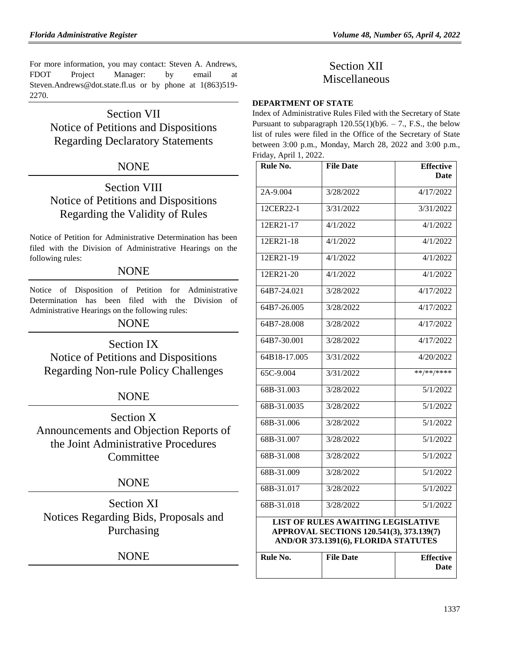For more information, you may contact: Steven A. Andrews, FDOT Project Manager: by email at Steven.Andrews@dot.state.fl.us or by phone at 1(863)519- 2270.

# Section VII Notice of Petitions and Dispositions Regarding Declaratory Statements

# **NONE**

# Section VIII Notice of Petitions and Dispositions Regarding the Validity of Rules

Notice of Petition for Administrative Determination has been filed with the Division of Administrative Hearings on the following rules:

## **NONE**

Notice of Disposition of Petition for Administrative Determination has been filed with the Division of Administrative Hearings on the following rules:

NONE

Section IX Notice of Petitions and Dispositions Regarding Non-rule Policy Challenges

# **NONE**

Section X Announcements and Objection Reports of the Joint Administrative Procedures **Committee** 

# NONE

Section XI Notices Regarding Bids, Proposals and Purchasing

# NONE

# Section XII Miscellaneous

## **[DEPARTMENT OF STATE](https://www.flrules.org/gateway/department.asp?id=1)**

Index of Administrative Rules Filed with the Secretary of State Pursuant to subparagraph  $120.55(1)(b)6. - 7.$ , F.S., the below list of rules were filed in the Office of the Secretary of State between 3:00 p.m., Monday, March 28, 2022 and 3:00 p.m., Friday, April 1, 2022.

| Rule No.                                  | <b>File Date</b> | <b>Effective</b> |
|-------------------------------------------|------------------|------------------|
|                                           |                  | <b>Date</b>      |
| $2A-9.004$                                | 3/28/2022        | 4/17/2022        |
| 12CER22-1                                 | 3/31/2022        | 3/31/2022        |
| 12ER21-17                                 | 4/1/2022         | 4/1/2022         |
| 12ER21-18                                 | 4/1/2022         | 4/1/2022         |
| 12ER21-19                                 | 4/1/2022         | 4/1/2022         |
| 12ER21-20                                 | 4/1/2022         | 4/1/2022         |
| 64B7-24.021                               | 3/28/2022        | 4/17/2022        |
| 64B7-26.005                               | 3/28/2022        | 4/17/2022        |
| 64B7-28.008                               | 3/28/2022        | 4/17/2022        |
| $64B7 - 30.001$                           | 3/28/2022        | 4/17/2022        |
| 64B18-17.005                              | 3/31/2022        | 4/20/2022        |
| 65C-9.004                                 | 3/31/2022        | **/**/****       |
| 68B-31.003                                | 3/28/2022        | 5/1/2022         |
| 68B-31.0035                               | 3/28/2022        | 5/1/2022         |
| 68B-31.006                                | 3/28/2022        | 5/1/2022         |
| 68B-31.007                                | 3/28/2022        | 5/1/2022         |
| 68B-31.008                                | 3/28/2022        | 5/1/2022         |
| 68B-31.009                                | 3/28/2022        | 5/1/2022         |
| 68B-31.017                                | 3/28/2022        | 5/1/2022         |
| 68B-31.018                                | 3/28/2022        | 5/1/2022         |
| <b>LIST OF RULES AWAITING LEGISLATIVE</b> |                  |                  |
| APPROVAL SECTIONS 120.541(3), 373.139(7)  |                  |                  |
| AND/OR 373.1391(6), FLORIDA STATUTES      |                  |                  |
|                                           |                  |                  |

| Rule No. | <b>File Date</b> | <b>Effective</b> |
|----------|------------------|------------------|
|          |                  | Date             |
|          |                  |                  |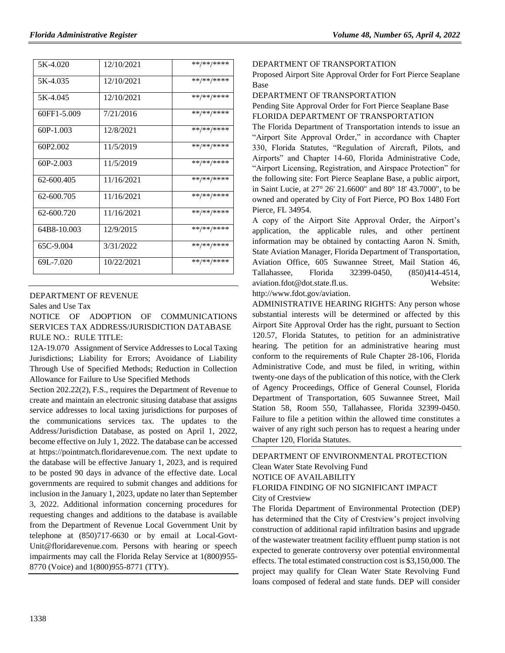| 5K-4.020    | 12/10/2021 | **/**/**** |
|-------------|------------|------------|
| 5K-4.035    | 12/10/2021 | **/**/**** |
| 5K-4.045    | 12/10/2021 | **/**/**** |
| 60FF1-5.009 | 7/21/2016  | **/**/**** |
| $60P-1.003$ | 12/8/2021  | **/**/**** |
| 60P2.002    | 11/5/2019  | **/**/**** |
| $60P-2.003$ | 11/5/2019  | **/**/**** |
| 62-600.405  | 11/16/2021 | **/**/**** |
| 62-600.705  | 11/16/2021 | **/**/**** |
| 62-600.720  | 11/16/2021 | **/**/**** |
| 64B8-10.003 | 12/9/2015  | **/**/**** |
| 65C-9.004   | 3/31/2022  | **/**/**** |
| 69L-7.020   | 10/22/2021 | **/**/**** |
|             |            |            |

### [DEPARTMENT OF REVENUE](https://www.flrules.org/gateway/department.asp?id=12)

[Sales and Use Tax](https://www.flrules.org/gateway/organization.asp?id=33)

NOTICE OF ADOPTION OF COMMUNICATIONS SERVICES TAX ADDRESS/JURISDICTION DATABASE RULE NO.: RULE TITLE:

[12A-19.070](https://www.flrules.org/gateway/ruleNo.asp?id=12A-19.070) Assignment of Service Addresses to Local Taxing Jurisdictions; Liability for Errors; Avoidance of Liability Through Use of Specified Methods; Reduction in Collection Allowance for Failure to Use Specified Methods

Section 202.22(2), F.S., requires the Department of Revenue to create and maintain an electronic situsing database that assigns service addresses to local taxing jurisdictions for purposes of the communications services tax. The updates to the Address/Jurisdiction Database, as posted on April 1, 2022, become effective on July 1, 2022. The database can be accessed at https://pointmatch.floridarevenue.com. The next update to the database will be effective January 1, 2023, and is required to be posted 90 days in advance of the effective date. Local governments are required to submit changes and additions for inclusion in the January 1, 2023, update no later than September 3, 2022. Additional information concerning procedures for requesting changes and additions to the database is available from the Department of Revenue Local Government Unit by telephone at (850)717-6630 or by email at Local-Govt-Unit@floridarevenue.com. Persons with hearing or speech impairments may call the Florida Relay Service at 1(800)955- 8770 (Voice) and 1(800)955-8771 (TTY).

[DEPARTMENT OF TRANSPORTATION](https://www.flrules.org/gateway/department.asp?id=14)

Proposed Airport Site Approval Order for Fort Pierce Seaplane Base

DEPARTMENT OF TRANSPORTATION

Pending Site Approval Order for Fort Pierce Seaplane Base FLORIDA DEPARTMENT OF TRANSPORTATION

The Florida Department of Transportation intends to issue an "Airport Site Approval Order," in accordance with Chapter 330, Florida Statutes, "Regulation of Aircraft, Pilots, and Airports" and Chapter 14-60, Florida Administrative Code, "Airport Licensing, Registration, and Airspace Protection" for the following site: Fort Pierce Seaplane Base, a public airport, in Saint Lucie, at 27° 26' 21.6600" and 80° 18' 43.7000", to be owned and operated by City of Fort Pierce, PO Box 1480 Fort Pierce, FL 34954.

A copy of the Airport Site Approval Order, the Airport's application, the applicable rules, and other pertinent information may be obtained by contacting Aaron N. Smith, State Aviation Manager, Florida Department of Transportation, Aviation Office, 605 Suwannee Street, Mail Station 46, Tallahassee, Florida 32399-0450, (850)414-4514, [aviation.fdot@dot.state.fl.us.](mailto:aviation.fdot@dot.state.fl.us) Website:

[http://www.fdot.gov/aviation.](http://www.fdot.gov/aviation)

ADMINISTRATIVE HEARING RIGHTS: Any person whose substantial interests will be determined or affected by this Airport Site Approval Order has the right, pursuant to Section 120.57, Florida Statutes, to petition for an administrative hearing. The petition for an administrative hearing must conform to the requirements of Rule Chapter 28-106, Florida Administrative Code, and must be filed, in writing, within twenty-one days of the publication of this notice, with the Clerk of Agency Proceedings, Office of General Counsel, Florida Department of Transportation, 605 Suwannee Street, Mail Station 58, Room 550, Tallahassee, Florida 32399-0450. Failure to file a petition within the allowed time constitutes a waiver of any right such person has to request a hearing under Chapter 120, Florida Statutes.

# [DEPARTMENT OF ENVIRONMENTAL PROTECTION](https://www.flrules.org/gateway/department.asp?id=62) Clean Water State Revolving Fund NOTICE OF AVAILABILITY FLORIDA FINDING OF NO SIGNIFICANT IMPACT

City of Crestview

The Florida Department of Environmental Protection (DEP) has determined that the City of Crestview's project involving construction of additional rapid infiltration basins and upgrade of the wastewater treatment facility effluent pump station is not expected to generate controversy over potential environmental effects. The total estimated construction cost is \$3,150,000. The project may qualify for Clean Water State Revolving Fund loans composed of federal and state funds. DEP will consider